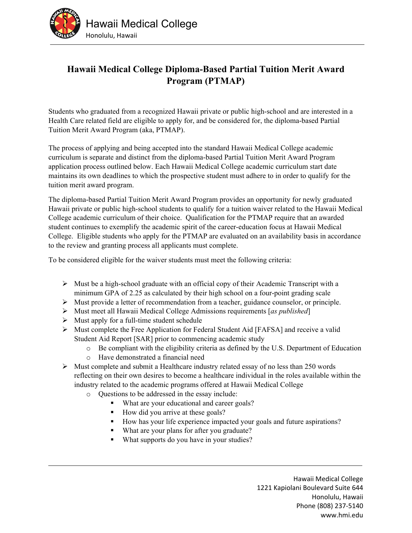

## **Hawaii Medical College Diploma-Based Partial Tuition Merit Award Program (PTMAP)**

Students who graduated from a recognized Hawaii private or public high-school and are interested in a Health Care related field are eligible to apply for, and be considered for, the diploma-based Partial Tuition Merit Award Program (aka, PTMAP).

The process of applying and being accepted into the standard Hawaii Medical College academic curriculum is separate and distinct from the diploma-based Partial Tuition Merit Award Program application process outlined below. Each Hawaii Medical College academic curriculum start date maintains its own deadlines to which the prospective student must adhere to in order to qualify for the tuition merit award program.

The diploma-based Partial Tuition Merit Award Program provides an opportunity for newly graduated Hawaii private or public high-school students to qualify for a tuition waiver related to the Hawaii Medical College academic curriculum of their choice. Qualification for the PTMAP require that an awarded student continues to exemplify the academic spirit of the career-education focus at Hawaii Medical College. Eligible students who apply for the PTMAP are evaluated on an availability basis in accordance to the review and granting process all applicants must complete.

To be considered eligible for the waiver students must meet the following criteria:

- $\triangleright$  Must be a high-school graduate with an official copy of their Academic Transcript with a minimum GPA of 2.25 as calculated by their high school on a four-point grading scale
- $\triangleright$  Must provide a letter of recommendation from a teacher, guidance counselor, or principle.
- Must meet all Hawaii Medical College Admissions requirements [*as published*]
- $\triangleright$  Must apply for a full-time student schedule
- Must complete the Free Application for Federal Student Aid [FAFSA] and receive a valid Student Aid Report [SAR] prior to commencing academic study
	- o Be compliant with the eligibility criteria as defined by the U.S. Department of Education
	- o Have demonstrated a financial need
- $\triangleright$  Must complete and submit a Healthcare industry related essay of no less than 250 words reflecting on their own desires to become a healthcare individual in the roles available within the industry related to the academic programs offered at Hawaii Medical College
	- o Questions to be addressed in the essay include:
		- What are your educational and career goals?
		- How did you arrive at these goals?
		- How has your life experience impacted your goals and future aspirations?
		- What are your plans for after you graduate?
		- What supports do you have in your studies?

Hawaii Medical College 1221 Kapiolani Boulevard Suite 644 Honolulu, Hawaii Phone (808) 237‐5140 www.hmi.edu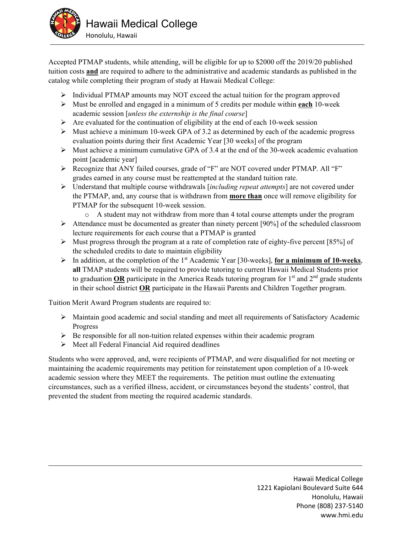

Accepted PTMAP students, while attending, will be eligible for up to \$2000 off the 2019/20 published tuition costs **and** are required to adhere to the administrative and academic standards as published in the catalog while completing their program of study at Hawaii Medical College:

- $\triangleright$  Individual PTMAP amounts may NOT exceed the actual tuition for the program approved
- Must be enrolled and engaged in a minimum of 5 credits per module within **each** 10-week academic session [*unless the externship is the final course*]
- $\triangleright$  Are evaluated for the continuation of eligibility at the end of each 10-week session
- $\triangleright$  Must achieve a minimum 10-week GPA of 3.2 as determined by each of the academic progress evaluation points during their first Academic Year [30 weeks] of the program
- $\triangleright$  Must achieve a minimum cumulative GPA of 3.4 at the end of the 30-week academic evaluation point [academic year]
- Recognize that ANY failed courses, grade of "F" are NOT covered under PTMAP. All "F" grades earned in any course must be reattempted at the standard tuition rate.
- Understand that multiple course withdrawals [*including repeat attempts*] are not covered under the PTMAP, and, any course that is withdrawn from **more than** once will remove eligibility for PTMAP for the subsequent 10-week session.
	- o A student may not withdraw from more than 4 total course attempts under the program
- $\triangleright$  Attendance must be documented as greater than ninety percent [90%] of the scheduled classroom lecture requirements for each course that a PTMAP is granted
- $\triangleright$  Must progress through the program at a rate of completion rate of eighty-five percent [85%] of the scheduled credits to date to maintain eligibility
- $\triangleright$  In addition, at the completion of the 1<sup>st</sup> Academic Year [30-weeks], **for a minimum of 10-weeks**, **all** TMAP students will be required to provide tutoring to current Hawaii Medical Students prior to graduation **OR** participate in the America Reads tutoring program for  $1<sup>st</sup>$  and  $2<sup>nd</sup>$  grade students in their school district **OR** participate in the Hawaii Parents and Children Together program.

Tuition Merit Award Program students are required to:

- Maintain good academic and social standing and meet all requirements of Satisfactory Academic Progress
- $\triangleright$  Be responsible for all non-tuition related expenses within their academic program
- $\triangleright$  Meet all Federal Financial Aid required deadlines

Students who were approved, and, were recipients of PTMAP, and were disqualified for not meeting or maintaining the academic requirements may petition for reinstatement upon completion of a 10-week academic session where they MEET the requirements. The petition must outline the extenuating circumstances, such as a verified illness, accident, or circumstances beyond the students' control, that prevented the student from meeting the required academic standards.